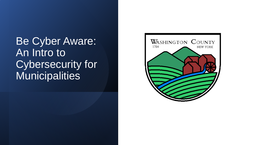Be Cyber Aware: An Intro to Cybersecurity for **Municipalities** 

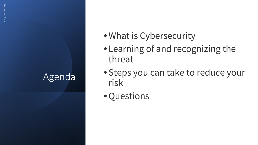# Agenda

- •What is Cybersecurity
- Learning of and recognizing the threat
- Steps you can take to reduce your risk
- •Questions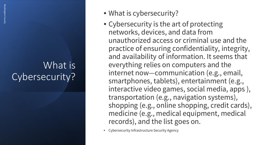### What is Cybersecurity?

- What is cybersecurity?
- Cybersecurity is the art of protecting networks, devices, and data from unauthorized access or criminal use and the practice of ensuring confidentiality, integrity, and availability of information. It seems that everything relies on computers and the internet now—communication (e.g., email, smartphones, tablets), entertainment (e.g., interactive video games, social media, apps ), transportation (e.g., navigation systems), shopping (e.g., online shopping, credit cards), medicine (e.g., medical equipment, medical records), and the list goes on.
- Cybersecurity Infrastructure Security Agency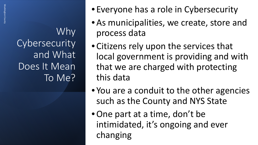Why **Cybersecurity** and What Does It Mean To Me?

- Everyone has a role in Cybersecurity
- As municipalities, we create, store and process data
- Citizens rely upon the services that local government is providing and with that we are charged with protecting this data
- You are a conduit to the other agencies such as the County and NYS State
- •One part at a time, don't be intimidated, it's ongoing and ever changing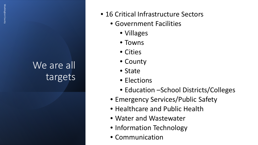# We are all targets

- 16 Critical Infrastructure Sectors
	- Government Facilities
		- Villages
		- Towns
		- Cities
		- County
		- State
		- Elections
		- Education –School Districts/Colleges
	- Emergency Services/Public Safety
	- Healthcare and Public Health
	- Water and Wastewater
	- Information Technology
	- Communication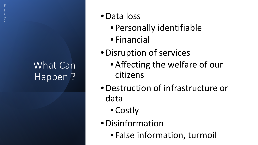# What Can Happen?

- •Data loss
	- Personally identifiable
	- Financial
- •Disruption of services
	- Affecting the welfare of our citizens
- •Destruction of infrastructure or data
	- Costly
- •Disinformation
	- False information, turmoil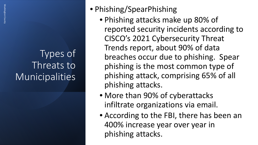# Types of Threats to Municipalities

- Phishing/SpearPhishing
	- Phishing attacks make up 80% of reported security incidents according to CISCO's 2021 Cybersecurity Threat Trends report, about 90% of data breaches occur due to phishing. Spear phishing is the most common type of phishing attack, comprising 65% of all phishing attacks.
	- More than 90% of cyberattacks infiltrate organizations via email.
	- According to the FBI, there has been an 400% increase year over year in phishing attacks.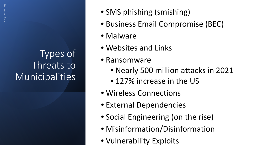# Types of Threats to **Municipalities**

- SMS phishing (smishing)
- Business Email Compromise (BEC)
- Malware
- Websites and Links
- Ransomware
	- Nearly 500 million attacks in 2021
	- 127% increase in the US
- Wireless Connections
- External Dependencies
- Social Engineering (on the rise)
- Misinformation/Disinformation
- Vulnerability Exploits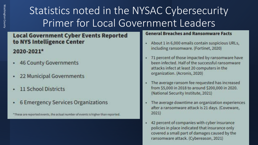# Statistics noted in the NYSAC Cybersecurity Primer for Local Government Leaders

#### **Local Government Cyber Events Reported** to NYS Intelligence Center

#### 2020-2021\*

- **46 County Governments**
- 22 Municipal Governments
- **11 School Districts**
- **6 Emergency Services Organizations**

"These are reported events, the actual number of events is higher than reported.

#### **General Breaches and Ransomware Facts**

- About 1 in 6,000 emails contain suspicious URLs, a. including ransomware. (Fortinet, 2020)
- 71 percent of those impacted by ransomware have been infected. Half of the successful ransomware attacks infect at least 20 computers in the organization. (Acronis, 2020)
- The average ransom fee requested has increased from \$5,000 in 2018 to around \$200,000 in 2020. (National Security Institute, 2021)
- The average downtime an organization experiences after a ransomware attack is 21 days. (Coveware,  $2021$
- 42 percent of companies with cyber insurance  $\blacksquare$ policies in place indicated that insurance only covered a small part of damages caused by the ransomware attack. (Cybereason, 2021)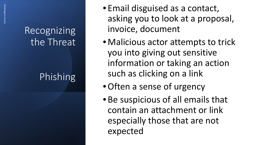Phishing

- Email disguised as a contact, asking you to look at a proposal, invoice, document
- Malicious actor attempts to trick you into giving out sensitive information or taking an action such as clicking on a link
- Often a sense of urgency
- Be suspicious of all emails that contain an attachment or link especially those that are not expected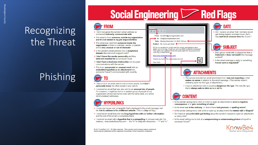# Phishing

# **Social Engineering Career Red Flags**

#### FROM

- . I don't recognize the sender's email address as someone I ordinarily communicate with.
- . This email is from someone outside my organization and it's not related to my job responsibilities.
- . This email was sent from someone inside the organization or from a customer, vendor, or partner and is very unusual or out of character.
- . Is the sender's email address from a suspicious domain (like micorsoft-support.com)?
- . I don't know the sender personally and they were not vouched for by someone I trust.
- . I don't have a business relationship nor any past communications with the sender.
- . This is an unexpected or unusual email with an embedded hyperlink or an attachment from someone I haven't communicated with recently.



- . I was cc'd on an email sent to one or more people, but I don't personally know the other people it was sent to.
- . I received an email that was also sent to an unusual mix of people. For instance, it might be sent to a random group of people at my organization whose last names start with the same letter, or a whole list of unrelated addresses.



- . I hover my mouse over a hyperlink that's displayed in the email message, but the link-to address is for a different website. (This is a big red flag.)
- . I received an email that only has long hyperlinks with no further information, and the rest of the email is completely blank.
- . I received an email with a hyperlink that is a misspelling of a known web site. For instance, www.bankofarnerica.com - the "m" is really two characters - "r" and "n."

@ 2017 KnowBe4, LLC. All rights reserved. Other product and company names mentioned herein may be trademarks and/or registered trademarks of their respective companies.





- . Is the sender asking me to click on a link or open an attachment to avoid a negative consequence or to gain something of value?
- Is the email out of the ordinary, or does it have bad grammar or spelling errors?
- Is the sender asking me to click a link or open up an attachment that seems odd or illogical?
- . Do I have an uncomfortable gut feeling about the sender's request to open an attachment or click a link?
- Is the email asking me to look at a compromising or embarrassing picture of myself or someone | know?

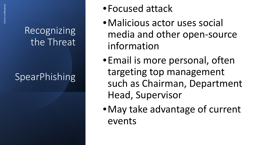# SpearPhishing

- •Focused attack
- •Malicious actor uses social media and other open-source information
- •Email is more personal, often targeting top management such as Chairman, Department Head, Supervisor
- •May take advantage of current events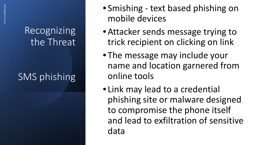# SMS phishing

- Smishing text based phishing on mobile devices
- Attacker sends message trying to trick recipient on clicking on link
- The message may include your name and location garnered from online tools
- Link may lead to a credential phishing site or malware designed to compromise the phone itself and lead to exfiltration of sensitive data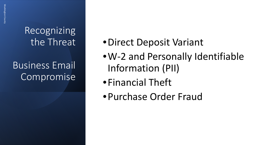Recognizing the Threat Business Email Compromise

- •Direct Deposit Variant
- •W-2 and Personally Identifiable Information (PII)
- •Financial Theft
- •Purchase Order Fraud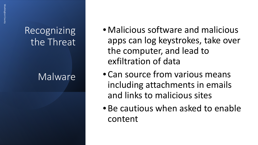### Malware

- Malicious software and malicious apps can log keystrokes, take over the computer, and lead to exfiltration of data
- Can source from various means including attachments in emails and links to malicious sites
- Be cautious when asked to enable content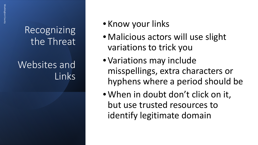Websites and Links

### • Know your links

- Malicious actors will use slight variations to trick you
- Variations may include misspellings, extra characters or hyphens where a period should be
- When in doubt don't click on it, but use trusted resources to identify legitimate domain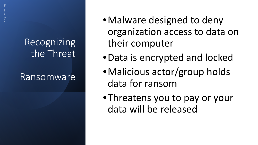Ransomware

- Malware designed to deny organization access to data on their computer
- •Data is encrypted and locked
- •Malicious actor/group holds data for ransom
- •Threatens you to pay or your data will be released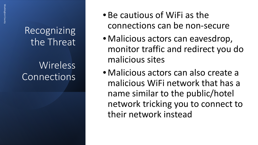Recognizing the Threat Wireless Connections

- Be cautious of WiFi as the connections can be non-secure
- Malicious actors can eavesdrop, monitor traffic and redirect you do malicious sites
- Malicious actors can also create a malicious WiFi network that has a name similar to the public/hotel network tricking you to connect to their network instead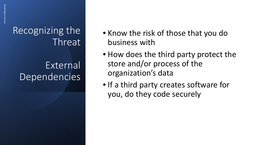Recognizing the Threat External Dependencies

- Know the risk of those that you do business with
- How does the third party protect the store and/or process of the organization's data
- If a third party creates software for you, do they code securely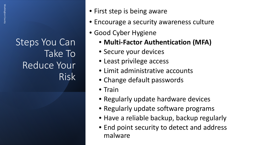- First step is being aware
- Encourage a security awareness culture
- Good Cyber Hygiene
	- **Multi-Factor Authentication (MFA)**
	- Secure your devices
	- Least privilege access
	- Limit administrative accounts
	- Change default passwords
	- Train
	- Regularly update hardware devices
	- Regularly update software programs
	- Have a reliable backup, backup regularly
	- End point security to detect and address malware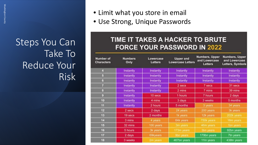- Limit what you store in email
- Use Strong, Unique Passwords

#### TIME IT TAKES A HACKER TO BRUTE **FORCE YOUR PASSWORD IN 2022**

| <b>Number of</b><br><b>Characters</b> | <b>Numbers</b><br>Only | Lowercase<br><b>Letters</b> | <b>Upper and</b><br><b>Lowercase Letters</b> | Numbers, Upper<br>and Lowercase<br>Letters | <b>Numbers, Upper</b><br>and Lowercase<br>Letters, Symbols |
|---------------------------------------|------------------------|-----------------------------|----------------------------------------------|--------------------------------------------|------------------------------------------------------------|
| đ                                     | Instantly              | Instantly                   | Instantly                                    | Instantly                                  | Instantly                                                  |
| $\overline{5}$                        | Instantly              | Instantly                   | Instantly                                    | Instantly                                  | Instantly                                                  |
| $6\phantom{.}$                        | Instantly              | Instantly                   | Instantly                                    | Instantly                                  | Instantly                                                  |
| $\overline{7}$                        | Instantly              | Instantly                   | 2 secs                                       | 7 secs                                     | 31 secs                                                    |
| 8                                     | Instantly              | Instantly                   | 2 mins                                       | 7 mins                                     | 39 mins                                                    |
| $\overline{9}$                        | Instantly              | 10 secs                     | 1 hours                                      | 7 hours                                    | 2 days                                                     |
| 10                                    | Instantly              | 4 mins                      | 3 days                                       | 3 weeks                                    | 5 months                                                   |
| 11                                    | Instantly              | 2 hours                     | 5 months                                     | 3 years                                    | 34 years                                                   |
| 12                                    | 2 secs                 | 2 days                      | 24 years                                     | 200 years                                  | 3k years                                                   |
| 13                                    | 19 secs                | 2 months                    | 1k years                                     | 12k years                                  | 202k years                                                 |
| 14                                    | 3 mins                 | 4 years                     | 64k years                                    | 750k years                                 | 16m years                                                  |
| 15                                    | 32 mins                | 100 years                   | 3m years                                     | 46m years                                  | 1bn years                                                  |
| 16                                    | 5 hours                | 3k years                    | 173m years                                   | 3bn years                                  | 92bn years                                                 |
| 17                                    | 2 days                 | <b>69kyears</b>             | 9bn years                                    | 179bn years                                | 7tn years                                                  |
| 18                                    | 3 weeks                | 2m years                    | 467bn years                                  | 11tn years                                 | 438tn years                                                |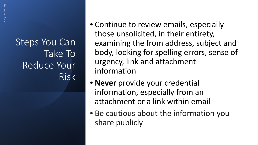- Continue to review emails, especially those unsolicited, in their entirety, examining the from address, subject and body, looking for spelling errors, sense of urgency, link and attachment information
- **Never** provide your credential information, especially from an attachment or a link within email
- Be cautious about the information you share publicly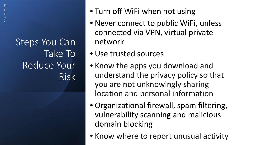- Turn off WiFi when not using
- Never connect to public WiFi, unless connected via VPN, virtual private network
- Use trusted sources
- Know the apps you download and understand the privacy policy so that you are not unknowingly sharing location and personal information
- Organizational firewall, spam filtering, vulnerability scanning and malicious domain blocking
- Know where to report unusual activity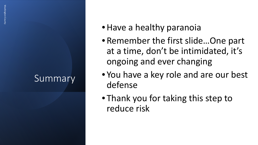# **Summary**

- Have a healthy paranoia
- Remember the first slide…One part at a time, don't be intimidated, it's ongoing and ever changing
- You have a key role and are our best defense
- Thank you for taking this step to reduce risk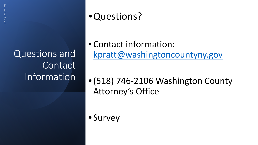Questions and Contact Information

# •Questions?

• Contact information: [kpratt@washingtoncountyny.gov](mailto:kpratt@washingtoncountyny.gov)

•(518) 746-2106 Washington County Attorney's Office

• Survey